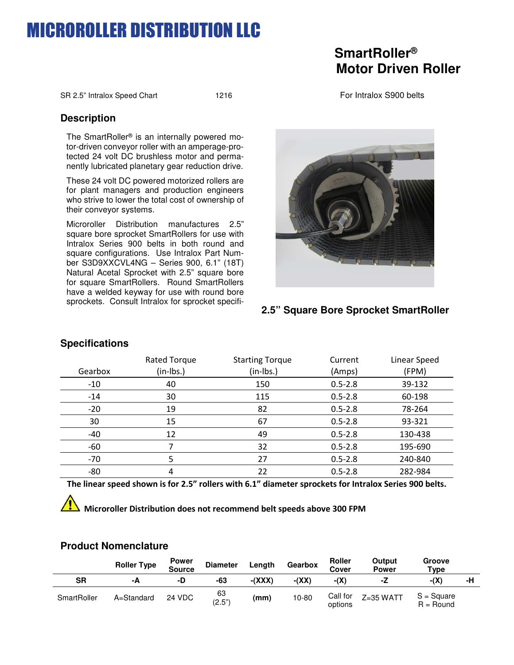## **CROROLLER DISTRIBUTION LLC**

## **SmartRoller® Motor Driven Roller**

SR 2.5" Intralox Speed Chart 1216 1216 For Intralox S900 belts

### **Description**

The SmartRoller® is an internally powered motor-driven conveyor roller with an amperage-protected 24 volt DC brushless motor and permanently lubricated planetary gear reduction drive.

These 24 volt DC powered motorized rollers are for plant managers and production engineers who strive to lower the total cost of ownership of their conveyor systems.

Microroller Distribution manufactures 2.5" square bore sprocket SmartRollers for use with Intralox Series 900 belts in both round and square configurations. Use Intralox Part Number S3D9XXCVL4NG – Series 900, 6.1" (18T) Natural Acetal Sprocket with 2.5" square bore for square SmartRollers. Round SmartRollers have a welded keyway for use with round bore sprockets. Consult Intralox for sprocket specifi-



### **2.5" Square Bore Sprocket SmartRoller**

|         | Rated Torque | <b>Starting Torque</b> | Current     | Linear Speed |
|---------|--------------|------------------------|-------------|--------------|
| Gearbox | (in-lbs.)    | $(in-lbs.)$            | (Amps)      | (FPM)        |
| $-10$   | 40           | 150                    | $0.5 - 2.8$ | 39-132       |
| $-14$   | 30           | 115                    | $0.5 - 2.8$ | 60-198       |
| $-20$   | 19           | 82                     | $0.5 - 2.8$ | 78-264       |
| 30      | 15           | 67                     | $0.5 - 2.8$ | 93-321       |
| -40     | 12           | 49                     | $0.5 - 2.8$ | 130-438      |
| $-60$   |              | 32                     | $0.5 - 2.8$ | 195-690      |
| $-70$   | 5            | 27                     | $0.5 - 2.8$ | 240-840      |
| -80     | 4            | 22                     | $0.5 - 2.8$ | 282-984      |

## **Specifications**

cations.

**The linear speed shown is for 2.5" rollers with 6.1" diameter sprockets for Intralox Series 900 belts.** 

### **Microroller Distribution does not recommend belt speeds above 300 FPM**

### **Product Nomenclature**

|             | <b>Roller Type</b> | <b>Power</b><br><b>Source</b> | <b>Diameter</b> | Length   | Gearbox | <b>Roller</b><br><b>Cover</b> | Output<br>Power | Groove<br>Type              |    |
|-------------|--------------------|-------------------------------|-----------------|----------|---------|-------------------------------|-----------------|-----------------------------|----|
| SR          | -A                 | -D                            | -63             | $-(XXX)$ | $-(XX)$ | -(X)                          | -2              | -(X)                        | -н |
| SmartRoller | A=Standard         | 24 VDC                        | 63<br>(2.5")    | (mm)     | 10-80   | Call for<br>options           | $Z=35$ WATT     | $S = Square$<br>$R =$ Round |    |